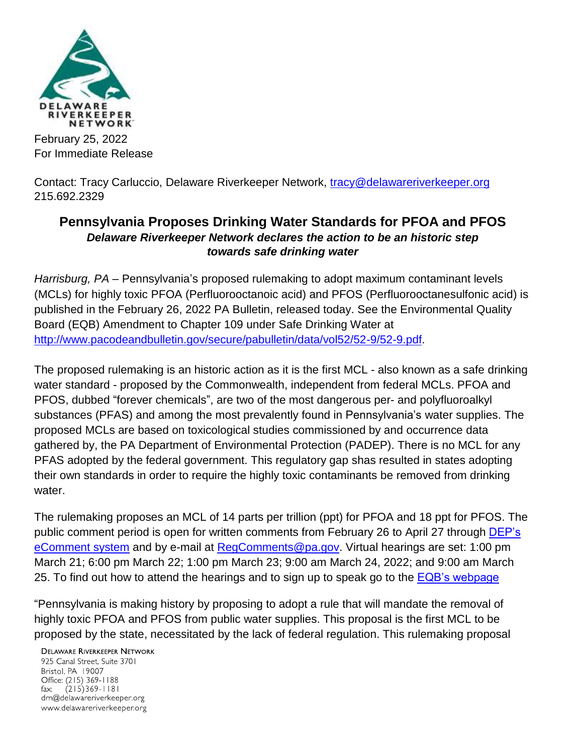

February 25, 2022 For Immediate Release

Contact: Tracy Carluccio, Delaware Riverkeeper Network, [tracy@delawareriverkeeper.org](mailto:tracy@delawareriverkeeper.org) 215.692.2329

## **Pennsylvania Proposes Drinking Water Standards for PFOA and PFOS** *Delaware Riverkeeper Network declares the action to be an historic step towards safe drinking water*

*Harrisburg, PA –* Pennsylvania's proposed rulemaking to adopt maximum contaminant levels (MCLs) for highly toxic PFOA (Perfluorooctanoic acid) and PFOS (Perfluorooctanesulfonic acid) is published in the February 26, 2022 PA Bulletin, released today. See the Environmental Quality Board (EQB) Amendment to Chapter 109 under Safe Drinking Water at [http://www.pacodeandbulletin.gov/secure/pabulletin/data/vol52/52-9/52-9.pdf.](http://www.pacodeandbulletin.gov/secure/pabulletin/data/vol52/52-9/52-9.pdf)

The proposed rulemaking is an historic action as it is the first MCL - also known as a safe drinking water standard - proposed by the Commonwealth, independent from federal MCLs. PFOA and PFOS, dubbed "forever chemicals", are two of the most dangerous per- and polyfluoroalkyl substances (PFAS) and among the most prevalently found in Pennsylvania's water supplies. The proposed MCLs are based on toxicological studies commissioned by and occurrence data gathered by, the PA Department of Environmental Protection (PADEP). There is no MCL for any PFAS adopted by the federal government. This regulatory gap shas resulted in states adopting their own standards in order to require the highly toxic contaminants be removed from drinking water.

The rulemaking proposes an MCL of 14 parts per trillion (ppt) for PFOA and 18 ppt for PFOS. The public comment period is open for written comments from February 26 to April 27 through DEP's [eComment system](https://t.e2ma.net/click/k6klbe/06verw/cgrawj) and by e-mail at [RegComments@pa.gov.](mailto:RegComments@pa.gov) Virtual hearings are set: 1:00 pm March 21; 6:00 pm March 22; 1:00 pm March 23; 9:00 am March 24, 2022; and 9:00 am March 25. To find out how to attend the hearings and to sign up to speak go to the [EQB's webpage](https://t.e2ma.net/click/k6klbe/06verw/s8rawj)

"Pennsylvania is making history by proposing to adopt a rule that will mandate the removal of highly toxic PFOA and PFOS from public water supplies. This proposal is the first MCL to be proposed by the state, necessitated by the lack of federal regulation. This rulemaking proposal

**DELAWARE RIVERKEEPER NETWORK** 

925 Canal Street, Suite 3701 Bristol, PA 19007 Office: (215) 369-1188 fax:  $(215)369 - 1181$ drn@delawareriverkeeper.org www.delawareriverkeeper.org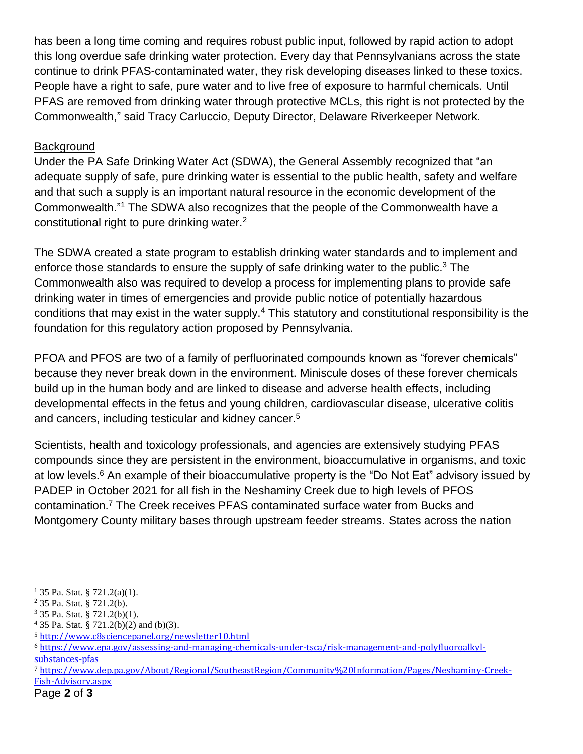has been a long time coming and requires robust public input, followed by rapid action to adopt this long overdue safe drinking water protection. Every day that Pennsylvanians across the state continue to drink PFAS-contaminated water, they risk developing diseases linked to these toxics. People have a right to safe, pure water and to live free of exposure to harmful chemicals. Until PFAS are removed from drinking water through protective MCLs, this right is not protected by the Commonwealth," said Tracy Carluccio, Deputy Director, Delaware Riverkeeper Network.

## **Background**

Under the PA Safe Drinking Water Act (SDWA), the General Assembly recognized that "an adequate supply of safe, pure drinking water is essential to the public health, safety and welfare and that such a supply is an important natural resource in the economic development of the Commonwealth."<sup>1</sup> The SDWA also recognizes that the people of the Commonwealth have a constitutional right to pure drinking water.<sup>2</sup>

The SDWA created a state program to establish drinking water standards and to implement and enforce those standards to ensure the supply of safe drinking water to the public.<sup>3</sup> The Commonwealth also was required to develop a process for implementing plans to provide safe drinking water in times of emergencies and provide public notice of potentially hazardous conditions that may exist in the water supply.<sup>4</sup> This statutory and constitutional responsibility is the foundation for this regulatory action proposed by Pennsylvania.

PFOA and PFOS are two of a family of perfluorinated compounds known as "forever chemicals" because they never break down in the environment. Miniscule doses of these forever chemicals build up in the human body and are linked to disease and adverse health effects, including developmental effects in the fetus and young children, cardiovascular disease, ulcerative colitis and cancers, including testicular and kidney cancer.<sup>5</sup>

Scientists, health and toxicology professionals, and agencies are extensively studying PFAS compounds since they are persistent in the environment, bioaccumulative in organisms, and toxic at low levels.<sup>6</sup> An example of their bioaccumulative property is the "Do Not Eat" advisory issued by PADEP in October 2021 for all fish in the Neshaminy Creek due to high levels of PFOS contamination.<sup>7</sup> The Creek receives PFAS contaminated surface water from Bucks and Montgomery County military bases through upstream feeder streams. States across the nation

 $\overline{a}$ 

 $1\,35$  Pa. Stat. § 721.2(a)(1).

<sup>2</sup> 35 Pa. Stat. § 721.2(b).

<sup>3</sup> 35 Pa. Stat. § 721.2(b)(1).

<sup>4</sup> 35 Pa. Stat. § 721.2(b)(2) and (b)(3).

<sup>5</sup> <http://www.c8sciencepanel.org/newsletter10.html>

<sup>6</sup> [https://www.epa.gov/assessing-and-managing-chemicals-under-tsca/risk-management-and-polyfluoroalkyl](https://www.epa.gov/assessing-and-managing-chemicals-under-tsca/risk-management-and-polyfluoroalkyl-substances-pfas)[substances-pfas](https://www.epa.gov/assessing-and-managing-chemicals-under-tsca/risk-management-and-polyfluoroalkyl-substances-pfas)

<sup>7</sup> [https://www.dep.pa.gov/About/Regional/SoutheastRegion/Community%20Information/Pages/Neshaminy-Creek-](https://www.dep.pa.gov/About/Regional/SoutheastRegion/Community%20Information/Pages/Neshaminy-Creek-Fish-Advisory.aspx)[Fish-Advisory.aspx](https://www.dep.pa.gov/About/Regional/SoutheastRegion/Community%20Information/Pages/Neshaminy-Creek-Fish-Advisory.aspx)